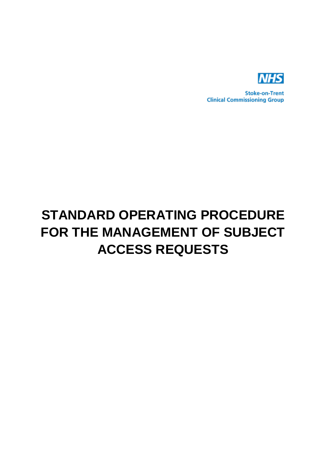

**Stoke-on-Trent Clinical Commissioning Group** 

# **STANDARD OPERATING PROCEDURE FOR THE MANAGEMENT OF SUBJECT ACCESS REQUESTS**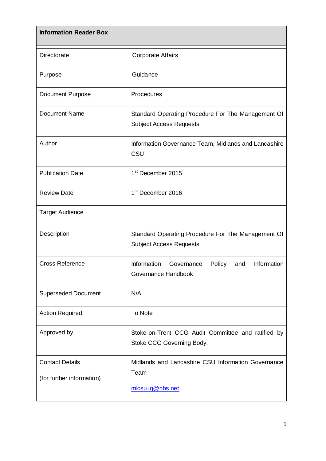| <b>Information Reader Box</b>                       |                                                                                      |
|-----------------------------------------------------|--------------------------------------------------------------------------------------|
| Directorate                                         | <b>Corporate Affairs</b>                                                             |
| Purpose                                             | Guidance                                                                             |
| <b>Document Purpose</b>                             | Procedures                                                                           |
| <b>Document Name</b>                                | Standard Operating Procedure For The Management Of<br><b>Subject Access Requests</b> |
| Author                                              | Information Governance Team, Midlands and Lancashire<br>CSU                          |
| <b>Publication Date</b>                             | 1 <sup>st</sup> December 2015                                                        |
| <b>Review Date</b>                                  | 1 <sup>st</sup> December 2016                                                        |
| <b>Target Audience</b>                              |                                                                                      |
| Description                                         | Standard Operating Procedure For The Management Of<br><b>Subject Access Requests</b> |
| <b>Cross Reference</b>                              | Information<br>Information<br>Governance<br>Policy<br>and<br>Governance Handbook     |
| <b>Superseded Document</b>                          | N/A                                                                                  |
| <b>Action Required</b>                              | <b>To Note</b>                                                                       |
| Approved by                                         | Stoke-on-Trent CCG Audit Committee and ratified by<br>Stoke CCG Governing Body.      |
| <b>Contact Details</b><br>(for further information) | Midlands and Lancashire CSU Information Governance<br>Team<br>mlcsu.ig@nhs.net       |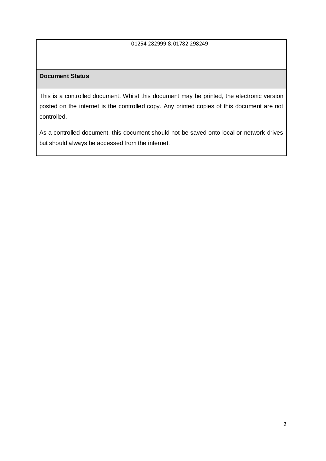#### 01254 282999 & 01782 298249

## **Document Status**

This is a controlled document. Whilst this document may be printed, the electronic version posted on the internet is the controlled copy. Any printed copies of this document are not controlled.

As a controlled document, this document should not be saved onto local or network drives but should always be accessed from the internet.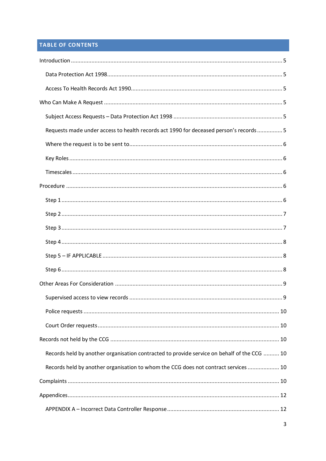# **TABLE OF CONTENTS**

| Requests made under access to health records act 1990 for deceased person's records  5      |
|---------------------------------------------------------------------------------------------|
|                                                                                             |
|                                                                                             |
|                                                                                             |
|                                                                                             |
|                                                                                             |
|                                                                                             |
|                                                                                             |
|                                                                                             |
|                                                                                             |
|                                                                                             |
|                                                                                             |
|                                                                                             |
|                                                                                             |
|                                                                                             |
|                                                                                             |
| Records held by another organisation contracted to provide service on behalf of the CCG  10 |
| Records held by another organisation to whom the CCG does not contract services  10         |
|                                                                                             |
|                                                                                             |
|                                                                                             |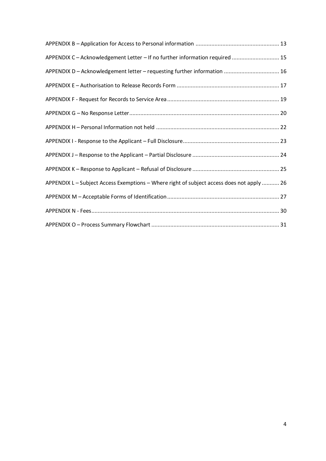| APPENDIX C - Acknowledgement Letter - If no further information required  15              |
|-------------------------------------------------------------------------------------------|
| APPENDIX D - Acknowledgement letter - requesting further information  16                  |
|                                                                                           |
|                                                                                           |
|                                                                                           |
|                                                                                           |
|                                                                                           |
|                                                                                           |
|                                                                                           |
| APPENDIX L - Subject Access Exemptions - Where right of subject access does not apply  26 |
|                                                                                           |
|                                                                                           |
|                                                                                           |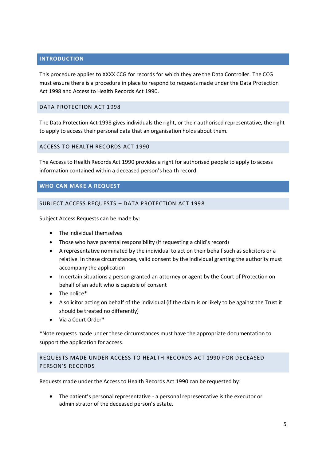## <span id="page-5-0"></span>**INTRODUCTION**

This procedure applies to XXXX CCG for records for which they are the Data Controller. The CCG must ensure there is a procedure in place to respond to requests made under the Data Protection Act 1998 and Access to Health Records Act 1990.

#### <span id="page-5-1"></span>DATA PROTECTION ACT 1998

The Data Protection Act 1998 gives individuals the right, or their authorised representative, the right to apply to access their personal data that an organisation holds about them.

<span id="page-5-2"></span>ACCESS TO HEALTH RECORDS ACT 1990

The Access to Health Records Act 1990 provides a right for authorised people to apply to access information contained within a deceased person's health record.

#### <span id="page-5-3"></span>**WHO CAN MAKE A REQUEST**

#### <span id="page-5-4"></span>SUBJECT ACCESS REQUESTS – DATA PROTECTION ACT 1998

Subject Access Requests can be made by:

- The individual themselves
- Those who have parental responsibility (if requesting a child's record)
- A representative nominated by the individual to act on their behalf such as solicitors or a relative. In these circumstances, valid consent by the individual granting the authority must accompany the application
- In certain situations a person granted an attorney or agent by the Court of Protection on behalf of an adult who is capable of consent
- The police\*
- A solicitor acting on behalf of the individual (if the claim is or likely to be against the Trust it should be treated no differently)
- Via a Court Order\*

\*Note requests made under these circumstances must have the appropriate documentation to support the application for access.

## <span id="page-5-5"></span>REQUESTS MADE UNDER ACCESS TO HEALTH RECORDS ACT 1990 FOR DECEASED PERSON'S RECORDS

Requests made under the Access to Health Records Act 1990 can be requested by:

 The patient's personal representative - a personal representative is the executor or administrator of the deceased person's estate.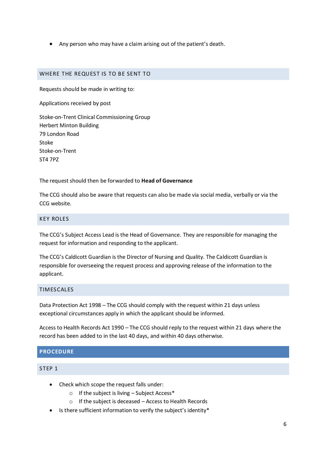Any person who may have a claim arising out of the patient's death.

#### <span id="page-6-0"></span>WHERE THE REQUEST IS TO BE SENT TO

Requests should be made in writing to:

Applications received by post

Stoke-on-Trent Clinical Commissioning Group Herbert Minton Building 79 London Road Stoke Stoke-on-Trent ST4 7PZ

The request should then be forwarded to **Head of Governance**

The CCG should also be aware that requests can also be made via social media, verbally or via the CCG website.

#### <span id="page-6-1"></span>KEY ROLES

The CCG's Subject Access Lead is the Head of Governance. They are responsible for managing the request for information and responding to the applicant.

The CCG's Caldicott Guardian is the Director of Nursing and Quality. The Caldicott Guardian is responsible for overseeing the request process and approving release of the information to the applicant.

#### <span id="page-6-2"></span>TIMESCALES

Data Protection Act 1998 – The CCG should comply with the request within 21 days unless exceptional circumstances apply in which the applicant should be informed.

Access to Health Records Act 1990 – The CCG should reply to the request within 21 days where the record has been added to in the last 40 days, and within 40 days otherwise.

# <span id="page-6-3"></span>**PROCEDURE**

#### <span id="page-6-4"></span>STEP 1

- Check which scope the request falls under:
	- o If the subject is living Subject Access\*
	- o If the subject is deceased Access to Health Records
- Is there sufficient information to verify the subject's identity\*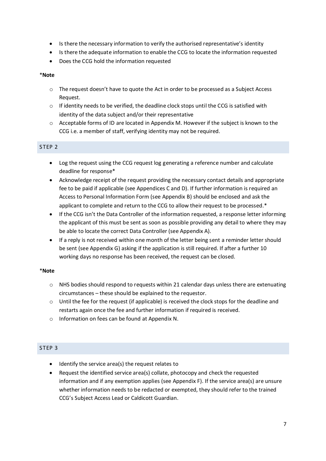- Is there the necessary information to verify the authorised representative's identity
- Is there the adequate information to enable the CCG to locate the information requested
- Does the CCG hold the information requested

#### \***Note**

- $\circ$  The request doesn't have to quote the Act in order to be processed as a Subject Access Request.
- $\circ$  If identity needs to be verified, the deadline clock stops until the CCG is satisfied with identity of the data subject and/or their representative
- $\circ$  Acceptable forms of ID are located in Appendix M. However if the subject is known to the CCG i.e. a member of staff, verifying identity may not be required.

# <span id="page-7-0"></span>STEP 2

- Log the request using the CCG request log generating a reference number and calculate deadline for response\*
- Acknowledge receipt of the request providing the necessary contact details and appropriate fee to be paid if applicable (see Appendices C and D). If further information is required an Access to Personal Information Form (see Appendix B) should be enclosed and ask the applicant to complete and return to the CCG to allow their request to be processed.\*
- If the CCG isn't the Data Controller of the information requested, a response letter informing the applicant of this must be sent as soon as possible providing any detail to where they may be able to locate the correct Data Controller (see Appendix A).
- If a reply is not received within one month of the letter being sent a reminder letter should be sent (see Appendix G) asking if the application is still required. If after a further 10 working days no response has been received, the request can be closed.

#### \***Note**

- $\circ$  NHS bodies should respond to requests within 21 calendar days unless there are extenuating circumstances – these should be explained to the requestor.
- o Until the fee for the request (if applicable) is received the clock stops for the deadline and restarts again once the fee and further information if required is received.
- o Information on fees can be found at Appendix N.

#### <span id="page-7-1"></span>STEP 3

- Identify the service area(s) the request relates to
- Request the identified service area(s) collate, photocopy and check the requested information and if any exemption applies (see Appendix F). If the service area(s) are unsure whether information needs to be redacted or exempted, they should refer to the trained CCG's Subject Access Lead or Caldicott Guardian.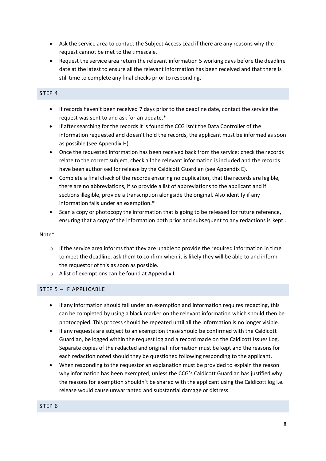- Ask the service area to contact the Subject Access Lead if there are any reasons why the request cannot be met to the timescale.
- Request the service area return the relevant information 5 working days before the deadline date at the latest to ensure all the relevant information has been received and that there is still time to complete any final checks prior to responding.

#### <span id="page-8-0"></span>STEP 4

- If records haven't been received 7 days prior to the deadline date, contact the service the request was sent to and ask for an update.\*
- If after searching for the records it is found the CCG isn't the Data Controller of the information requested and doesn't hold the records, the applicant must be informed as soon as possible (see Appendix H).
- Once the requested information has been received back from the service; check the records relate to the correct subject, check all the relevant information is included and the records have been authorised for release by the Caldicott Guardian (see Appendix E).
- Complete a final check of the records ensuring no duplication, that the records are legible, there are no abbreviations, if so provide a list of abbreviations to the applicant and if sections illegible, provide a transcription alongside the original. Also identify if any information falls under an exemption.\*
- Scan a copy or photocopy the information that is going to be released for future reference, ensuring that a copy of the information both prior and subsequent to any redactions is kept..

#### Note\*

- $\circ$  If the service area informs that they are unable to provide the required information in time to meet the deadline, ask them to confirm when it is likely they will be able to and inform the requestor of this as soon as possible.
- o A list of exemptions can be found at Appendix L.

#### <span id="page-8-1"></span>STEP 5 – IF APPLICABLE

- If any information should fall under an exemption and information requires redacting, this can be completed by using a black marker on the relevant information which should then be photocopied. This process should be repeated until all the information is no longer visible.
- If any requests are subject to an exemption these should be confirmed with the Caldicott Guardian, be logged within the request log and a record made on the Caldicott Issues Log. Separate copies of the redacted and original information must be kept and the reasons for each redaction noted should they be questioned following responding to the applicant.
- <span id="page-8-2"></span> When responding to the requestor an explanation must be provided to explain the reason why information has been exempted, unless the CCG's Caldicott Guardian has justified why the reasons for exemption shouldn't be shared with the applicant using the Caldicott log i.e. release would cause unwarranted and substantial damage or distress.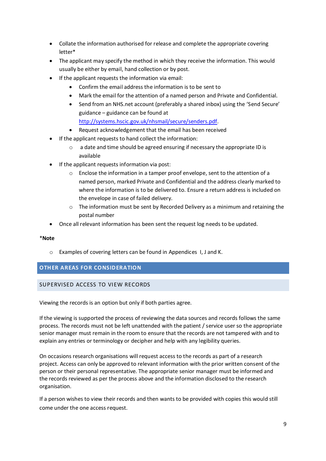- Collate the information authorised for release and complete the appropriate covering letter\*
- The applicant may specify the method in which they receive the information. This would usually be either by email, hand collection or by post.
- If the applicant requests the information via email:
	- Confirm the email address the information is to be sent to
	- Mark the email for the attention of a named person and Private and Confidential.
	- Send from an NHS.net account (preferably a shared inbox) using the 'Send Secure' guidance – guidance can be found at [http://systems.hscic.gov.uk/nhsmail/secure/senders.pdf.](http://systems.hscic.gov.uk/nhsmail/secure/senders.pdf)
	- Request acknowledgement that the email has been received
- If the applicant requests to hand collect the information:
	- o a date and time should be agreed ensuring if necessary the appropriate ID is available
- If the applicant requests information via post:
	- $\circ$  Enclose the information in a tamper proof envelope, sent to the attention of a named person, marked Private and Confidential and the address clearly marked to where the information is to be delivered to. Ensure a return address is included on the envelope in case of failed delivery.
	- $\circ$  The information must be sent by Recorded Delivery as a minimum and retaining the postal number
- Once all relevant information has been sent the request log needs to be updated.

#### \***Note**

o Examples of covering letters can be found in Appendices I, J and K.

#### <span id="page-9-0"></span>**OTHER AREAS FOR CONSIDERATION**

#### <span id="page-9-1"></span>SUPERVISED ACCESS TO VIEW RECORDS

Viewing the records is an option but only if both parties agree.

If the viewing is supported the process of reviewing the data sources and records follows the same process. The records must not be left unattended with the patient / service user so the appropriate senior manager must remain in the room to ensure that the records are not tampered with and to explain any entries or terminology or decipher and help with any legibility queries.

On occasions research organisations will request access to the records as part of a research project. Access can only be approved to relevant information with the prior written consent of the person or their personal representative. The appropriate senior manager must be informed and the records reviewed as per the process above and the information disclosed to the research organisation.

If a person wishes to view their records and then wants to be provided with copies this would still come under the one access request.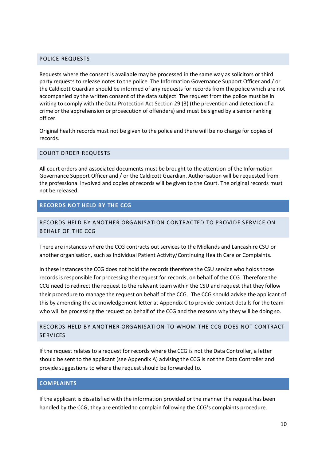#### <span id="page-10-0"></span>POLICE REQUESTS

Requests where the consent is available may be processed in the same way as solicitors or third party requests to release notes to the police. The Information Governance Support Officer and / or the Caldicott Guardian should be informed of any requests for records from the police which are not accompanied by the written consent of the data subject. The request from the police must be in writing to comply with the Data Protection Act Section 29 (3) (the prevention and detection of a crime or the apprehension or prosecution of offenders) and must be signed by a senior ranking officer.

Original health records must not be given to the police and there will be no charge for copies of records.

#### <span id="page-10-1"></span>COURT ORDER REQUESTS

All court orders and associated documents must be brought to the attention of the Information Governance Support Officer and / or the Caldicott Guardian. Authorisation will be requested from the professional involved and copies of records will be given to the Court. The original records must not be released.

#### <span id="page-10-2"></span>**RECORDS NOT HELD BY THE CCG**

## <span id="page-10-3"></span>RECORDS HELD BY ANOTHER ORGANISATION CONTRACTED TO PROVIDE SERVICE ON BEHALF OF THE CCG

There are instances where the CCG contracts out services to the Midlands and Lancashire CSU or another organisation, such as Individual Patient Activity/Continuing Health Care or Complaints.

In these instances the CCG does not hold the records therefore the CSU service who holds those records is responsible for processing the request for records, on behalf of the CCG. Therefore the CCG need to redirect the request to the relevant team within the CSU and request that they follow their procedure to manage the request on behalf of the CCG. The CCG should advise the applicant of this by amending the acknowledgement letter at Appendix C to provide contact details for the team who will be processing the request on behalf of the CCG and the reasons why they will be doing so.

# <span id="page-10-4"></span>RECORDS HELD BY ANOTHER ORGANISATION TO WHOM THE CCG DOES NOT CONTRACT **SERVICES**

If the request relates to a request for records where the CCG is not the Data Controller, a letter should be sent to the applicant (see Appendix A) advising the CCG is not the Data Controller and provide suggestions to where the request should be forwarded to.

#### <span id="page-10-5"></span>**COMPLAINTS**

If the applicant is dissatisfied with the information provided or the manner the request has been handled by the CCG, they are entitled to complain following the CCG's complaints procedure.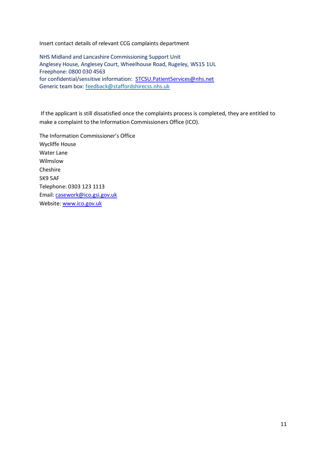Insert contact details of relevant CCG complaints department

NHS Midland and Lancashire Commissioning Support Unit Anglesey House, Anglesey Court, Wheelhouse Road, Rugeley, WS15 1UL Freephone: 0800 030 4563 for confidential/sensitive information: [STCSU.PatientServices@nhs.net](mailto:STCSU.PatientServices@nhs.net) Generic team box: [feedback@staffordshirecss.nhs.uk](mailto:feedback@staffordshirecss.nhs.uk)

If the applicant is still dissatisfied once the complaints process is completed, they are entitled to make a complaint to the Information Commissioners Office (ICO).

The Information Commissioner's Office Wycliffe House Water Lane Wilmslow Cheshire SK9 5AF Telephone: 0303 123 1113 Email: [casework@ico.gsi.gov.uk](mailto:casework@ico.gsi.gov.uk) Website: [www.ico.gov.uk](http://www.ico.gov.uk/)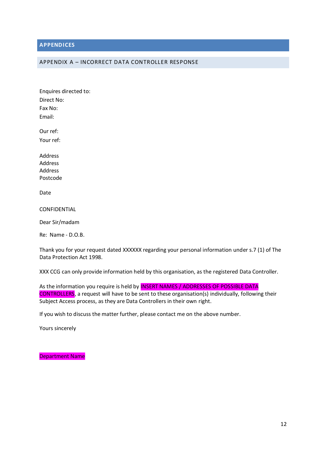#### <span id="page-12-0"></span>**APPENDICES**

#### <span id="page-12-1"></span>APPENDIX A – INCORRECT DATA CONTROLLER RESPONSE

Our ref: Your ref:

Address Address Address Postcode

Date

**CONFIDENTIAL** 

Dear Sir/madam

Re: Name - D.O.B.

Thank you for your request dated XXXXXX regarding your personal information under s.7 (1) of The Data Protection Act 1998.

XXX CCG can only provide information held by this organisation, as the registered Data Controller.

As the information you require is held by **INSERT NAMES / ADDRESSES OF POSSIBLE DATA** CONTROLLERS, a request will have to be sent to these organisation(s) individually, following their Subject Access process, as they are Data Controllers in their own right.

If you wish to discuss the matter further, please contact me on the above number.

Yours sincerely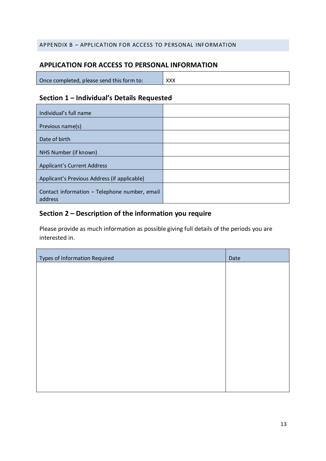# <span id="page-13-0"></span>APPENDIX B – APPLICATION FOR ACCESS TO PERSONAL INFORMATION

# **APPLICATION FOR ACCESS TO PERSONAL INFORMATION**

| Once completed, please send this form to: | XXX |
|-------------------------------------------|-----|
|                                           |     |

# **Section 1 – Individual's Details Requested**

| Individual's full name                                   |  |
|----------------------------------------------------------|--|
|                                                          |  |
| Previous name(s)                                         |  |
| Date of birth                                            |  |
| NHS Number (if known)                                    |  |
| <b>Applicant's Current Address</b>                       |  |
| Applicant's Previous Address (if applicable)             |  |
| Contact information - Telephone number, email<br>address |  |

# **Section 2 – Description of the information you require**

Please provide as much information as possible giving full details of the periods you are interested in.

| Types of Information Required | Date |
|-------------------------------|------|
|                               |      |
|                               |      |
|                               |      |
|                               |      |
|                               |      |
|                               |      |
|                               |      |
|                               |      |
|                               |      |
|                               |      |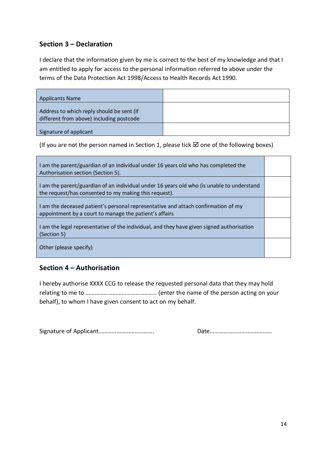# **Section 3 – Declaration**

I declare that the information given by me is correct to the best of my knowledge and that I am entitled to apply for access to the personal information referred to above under the terms of the Data Protection Act 1998/Access to Health Records Act 1990.

| Applicants Name                                                                       |  |
|---------------------------------------------------------------------------------------|--|
| Address to which reply should be sent (if<br>different from above) including postcode |  |
| Signature of applicant                                                                |  |

(If you are not the person named in Section 1, please tick  $\boxtimes$  one of the following boxes)

| I am the parent/guardian of an individual under 16 years old who has completed the<br>Authorisation section (Section 5).                           |  |
|----------------------------------------------------------------------------------------------------------------------------------------------------|--|
| I am the parent/guardian of an individual under 16 years old who (is unable to understand<br>the request/has consented to my making this request). |  |
| I am the deceased patient's personal representative and attach confirmation of my<br>appointment by a court to manage the patient's affairs        |  |
| I am the legal representative of the individual, and they have given signed authorisation<br>(Section 5)                                           |  |
| Other (please specify)                                                                                                                             |  |

# **Section 4 – Authorisation**

I hereby authorise XXXX CCG to release the requested personal data that they may hold relating to me to ……………………………………….. (enter the name of the person acting on your behalf), to whom I have given consent to act on my behalf.

Signature of Applicant………………………………. Date…………………………………..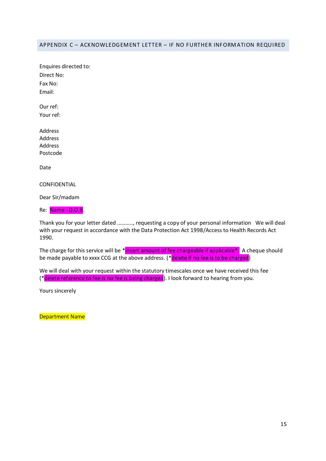#### <span id="page-15-0"></span>APPENDIX C – ACKNOWLEDGEMENT LETTER – IF NO FURTHER INFORMATION REQUIRED

Enquires directed to: Direct No: Fax No: Email:

Our ref: Your ref:

Address Address Address Postcode

Date

CONFIDENTIAL

Dear Sir/madam

Re: Name - D.O.B.

Thank you for your letter dated ……….., requesting a copy of your personal information We will deal with your request in accordance with the Data Protection Act 1998/Access to Health Records Act 1990.

The charge for this service will be \*insert amount of fee chargeable if applicable\*. A cheque should be made payable to xxxx CCG at the above address. (\*delete if no fee is to be charged)

We will deal with your request within the statutory timescales once we have received this fee (\*delete reference to fee is no fee is being charged). I look forward to hearing from you.

Yours sincerely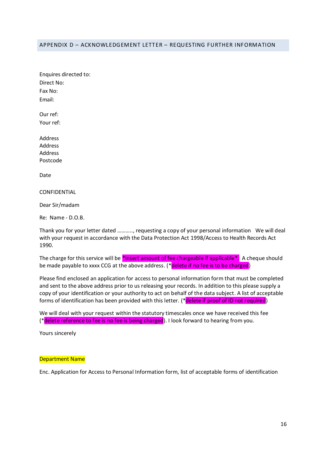#### <span id="page-16-0"></span>APPENDIX D – ACKNOWLEDGEMENT LETTER – REQUESTING FURTHER INFORMATION

Enquires directed to: Direct No: Fax No: Email:

Our ref: Your ref:

Address Address Address Postcode

Date

CONFIDENTIAL

Dear Sir/madam

Re: Name - D.O.B.

Thank you for your letter dated ……….., requesting a copy of your personal information We will deal with your request in accordance with the Data Protection Act 1998/Access to Health Records Act 1990.

The charge for this service will be \*insert amount of fee chargeable if applicable\*. A cheque should be made payable to xxxx CCG at the above address. (\*delete if no fee is to be charged)

Please find enclosed an application for access to personal information form that must be completed and sent to the above address prior to us releasing your records. In addition to this please supply a copy of your identification or your authority to act on behalf of the data subject. A list of acceptable forms of identification has been provided with this letter. (\*delete if proof of ID not required)

We will deal with your request within the statutory timescales once we have received this fee (\*delete reference to fee is no fee is being charged). I look forward to hearing from you.

Yours sincerely

#### Department Name

Enc. Application for Access to Personal Information form, list of acceptable forms of identification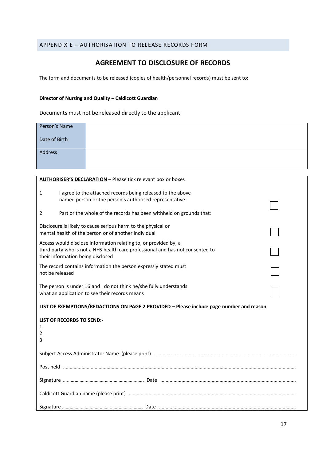#### <span id="page-17-0"></span>APPENDIX E - AUTHORISATION TO RELEASE RECORDS FORM

# **AGREEMENT TO DISCLOSURE OF RECORDS**

The form and documents to be released (copies of health/personnel records) must be sent to:

#### **Director of Nursing and Quality – Caldicott Guardian**

Documents must not be released directly to the applicant

| Person's Name |  |
|---------------|--|
| Date of Birth |  |
| Address       |  |

| <b>AUTHORISER'S DECLARATION - Please tick relevant box or boxes</b>                                                 |  |  |
|---------------------------------------------------------------------------------------------------------------------|--|--|
| I agree to the attached records being released to the above<br>$\mathbf{1}$                                         |  |  |
| named person or the person's authorised representative.                                                             |  |  |
| Part or the whole of the records has been withheld on grounds that:<br>2                                            |  |  |
| Disclosure is likely to cause serious harm to the physical or                                                       |  |  |
| mental health of the person or of another individual                                                                |  |  |
| Access would disclose information relating to, or provided by, a                                                    |  |  |
| third party who is not a NHS health care professional and has not consented to<br>their information being disclosed |  |  |
| The record contains information the person expressly stated must                                                    |  |  |
| not be released                                                                                                     |  |  |
| The person is under 16 and I do not think he/she fully understands                                                  |  |  |
| what an application to see their records means                                                                      |  |  |
| LIST OF EXEMPTIONS/REDACTIONS ON PAGE 2 PROVIDED - Please include page number and reason                            |  |  |
| <b>LIST OF RECORDS TO SEND:-</b>                                                                                    |  |  |
| 1.<br>2.                                                                                                            |  |  |
| 3.                                                                                                                  |  |  |
|                                                                                                                     |  |  |
|                                                                                                                     |  |  |
|                                                                                                                     |  |  |
|                                                                                                                     |  |  |
|                                                                                                                     |  |  |
|                                                                                                                     |  |  |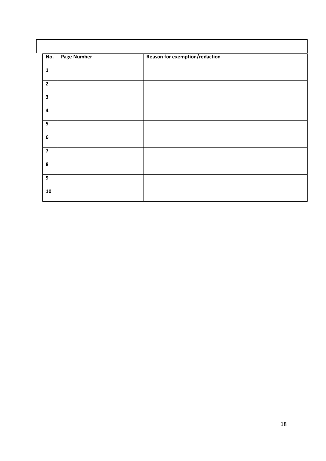| No.                     | <b>Page Number</b> | Reason for exemption/redaction |
|-------------------------|--------------------|--------------------------------|
| $\mathbf{1}$            |                    |                                |
| $\overline{2}$          |                    |                                |
| $\overline{\mathbf{3}}$ |                    |                                |
| $\overline{\mathbf{4}}$ |                    |                                |
| $\overline{\mathbf{5}}$ |                    |                                |
| 6                       |                    |                                |
|                         |                    |                                |
| 8                       |                    |                                |
| $\boldsymbol{9}$        |                    |                                |
| 10                      |                    |                                |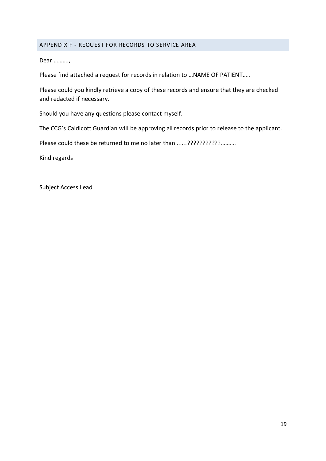#### <span id="page-19-0"></span>APPENDIX F - REQUEST FOR RECORDS TO SERVICE AREA

Dear ……….,

Please find attached a request for records in relation to …NAME OF PATIENT…..

Please could you kindly retrieve a copy of these records and ensure that they are checked and redacted if necessary.

Should you have any questions please contact myself.

The CCG's Caldicott Guardian will be approving all records prior to release to the applicant.

Please could these be returned to me no later than ......?????????????..........

Kind regards

Subject Access Lead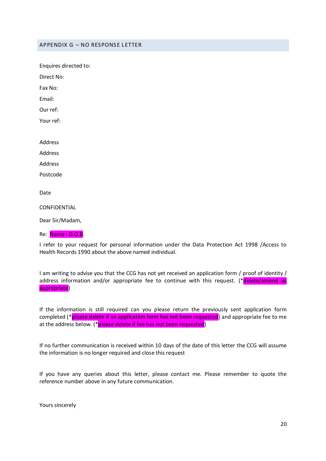<span id="page-20-0"></span>APPENDIX G – NO RESPONSE LETTER

Enquires directed to:

Direct No:

Fax No:

Email:

Our ref:

Your ref:

Address

Address

Address

Postcode

Date

CONFIDENTIAL

Dear Sir/Madam,

Re: Name - D.O.B.

I refer to your request for personal information under the Data Protection Act 1998 /Access to Health Records 1990 about the above named individual.

I am writing to advise you that the CCG has not yet received an application form / proof of identity / address information and/or appropriate fee to continue with this request. (\*delete/amend as appropriate)

If the information is still required can you please return the previously sent application form completed (\*please delete if an application form has not been requested) and appropriate fee to me at the address below. (\*please delete if fee has not been requested)

If no further communication is received within 10 days of the date of this letter the CCG will assume the information is no longer required and close this request

If you have any queries about this letter, please contact me. Please remember to quote the reference number above in any future communication.

Yours sincerely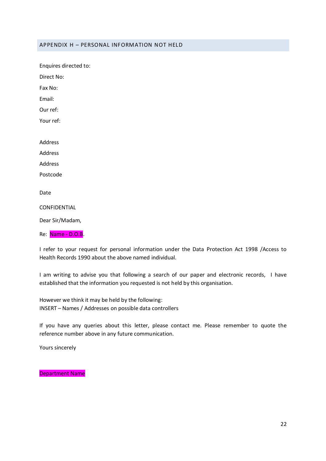#### <span id="page-22-0"></span>APPENDIX H – PERSONAL INFORMATION NOT HELD

Enquires directed to: Direct No: Fax No: Email: Our ref: Your ref: Address Address Address Postcode Date CONFIDENTIAL Dear Sir/Madam, Re: Name - D.O.B.

I refer to your request for personal information under the Data Protection Act 1998 /Access to Health Records 1990 about the above named individual.

I am writing to advise you that following a search of our paper and electronic records, I have established that the information you requested is not held by this organisation.

However we think it may be held by the following: INSERT – Names / Addresses on possible data controllers

If you have any queries about this letter, please contact me. Please remember to quote the reference number above in any future communication.

Yours sincerely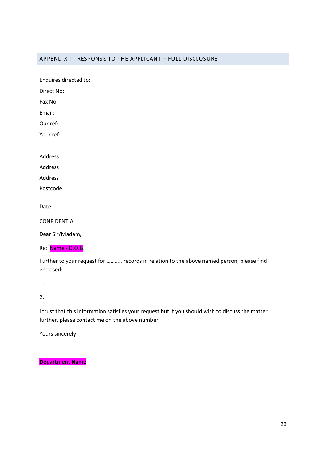#### <span id="page-23-0"></span>APPENDIX I - RESPONSE TO THE APPLICANT – FULL DISCLOSURE

Enquires directed to:

Direct No:

Fax No:

Email:

Our ref:

Your ref:

Address

Address

Address

Postcode

Date

CONFIDENTIAL

Dear Sir/Madam,

Re: Name - D.O.B.

Further to your request for ……….. records in relation to the above named person, please find enclosed:-

1.

2.

I trust that this information satisfies your request but if you should wish to discuss the matter further, please contact me on the above number.

Yours sincerely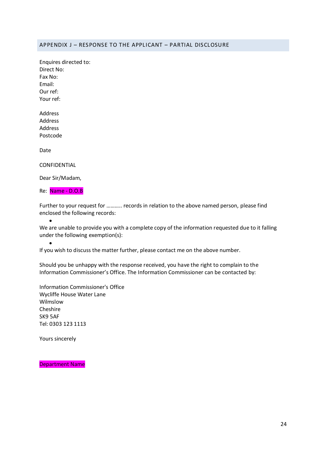#### <span id="page-24-0"></span>APPENDIX J – RESPONSE TO THE APPLICANT – PARTIAL DISCLOSURE

Enquires directed to: Direct No: Fax No: Email: Our ref: Your ref:

Address Address Address Postcode

Date

CONFIDENTIAL

Dear Sir/Madam,

Re: Name - D.O.B

Further to your request for ……….. records in relation to the above named person, please find enclosed the following records:

 $\bullet$ 

 $\bullet$ 

We are unable to provide you with a complete copy of the information requested due to it falling under the following exemption(s):

If you wish to discuss the matter further, please contact me on the above number.

Should you be unhappy with the response received, you have the right to complain to the Information Commissioner's Office. The Information Commissioner can be contacted by:

Information Commissioner's Office Wycliffe House Water Lane Wilmslow Cheshire SK9 5AF Tel: 0303 123 1113

Yours sincerely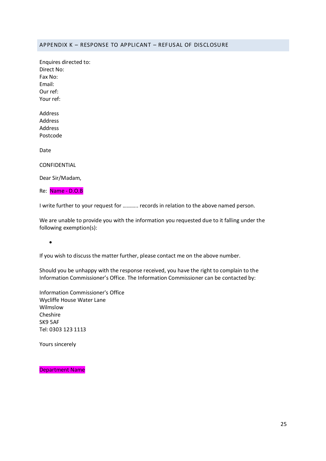#### <span id="page-25-0"></span>APPENDIX K – RESPONSE TO APPLICANT – REFUSAL OF DISCLOSURE

Enquires directed to: Direct No: Fax No: Email: Our ref: Your ref:

Address Address Address Postcode

Date

CONFIDENTIAL

Dear Sir/Madam,

Re: Name - D.O.B

I write further to your request for ……….. records in relation to the above named person.

We are unable to provide you with the information you requested due to it falling under the following exemption(s):

 $\bullet$ 

If you wish to discuss the matter further, please contact me on the above number.

Should you be unhappy with the response received, you have the right to complain to the Information Commissioner's Office. The Information Commissioner can be contacted by:

Information Commissioner's Office Wycliffe House Water Lane Wilmslow Cheshire SK9 5AF Tel: 0303 123 1113

Yours sincerely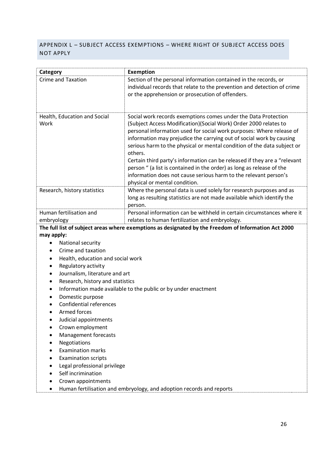# <span id="page-26-0"></span>APPENDIX L – SUBJECT ACCESS EXEMPTIONS – WHERE RIGHT OF SUBJECT ACCESS DOES NOT APPLY

| Category                                                                                             | <b>Exemption</b>                                                                                                                                                                                                                                                                                                                                                                                                                                                                                                                                                                                                                    |  |
|------------------------------------------------------------------------------------------------------|-------------------------------------------------------------------------------------------------------------------------------------------------------------------------------------------------------------------------------------------------------------------------------------------------------------------------------------------------------------------------------------------------------------------------------------------------------------------------------------------------------------------------------------------------------------------------------------------------------------------------------------|--|
| <b>Crime and Taxation</b>                                                                            | Section of the personal information contained in the records, or<br>individual records that relate to the prevention and detection of crime<br>or the apprehension or prosecution of offenders.                                                                                                                                                                                                                                                                                                                                                                                                                                     |  |
| Health, Education and Social<br>Work                                                                 | Social work records exemptions comes under the Data Protection<br>(Subject Access Modification)(Social Work) Order 2000 relates to<br>personal information used for social work purposes: Where release of<br>information may prejudice the carrying out of social work by causing<br>serious harm to the physical or mental condition of the data subject or<br>others.<br>Certain third party's information can be released if they are a "relevant<br>person " (a list is contained in the order) as long as release of the<br>information does not cause serious harm to the relevant person's<br>physical or mental condition. |  |
| Research, history statistics                                                                         | Where the personal data is used solely for research purposes and as<br>long as resulting statistics are not made available which identify the<br>person.                                                                                                                                                                                                                                                                                                                                                                                                                                                                            |  |
| Human fertilisation and                                                                              | Personal information can be withheld in certain circumstances where it                                                                                                                                                                                                                                                                                                                                                                                                                                                                                                                                                              |  |
| embryology                                                                                           | relates to human fertilization and embryology.                                                                                                                                                                                                                                                                                                                                                                                                                                                                                                                                                                                      |  |
| The full list of subject areas where exemptions as designated by the Freedom of Information Act 2000 |                                                                                                                                                                                                                                                                                                                                                                                                                                                                                                                                                                                                                                     |  |
| may apply:                                                                                           |                                                                                                                                                                                                                                                                                                                                                                                                                                                                                                                                                                                                                                     |  |
| National security<br>٠                                                                               |                                                                                                                                                                                                                                                                                                                                                                                                                                                                                                                                                                                                                                     |  |
| Crime and taxation                                                                                   |                                                                                                                                                                                                                                                                                                                                                                                                                                                                                                                                                                                                                                     |  |
| Health, education and social work<br>٠                                                               |                                                                                                                                                                                                                                                                                                                                                                                                                                                                                                                                                                                                                                     |  |
| Regulatory activity                                                                                  |                                                                                                                                                                                                                                                                                                                                                                                                                                                                                                                                                                                                                                     |  |
| Journalism, literature and art<br>$\bullet$                                                          |                                                                                                                                                                                                                                                                                                                                                                                                                                                                                                                                                                                                                                     |  |
| Research, history and statistics<br>٠                                                                |                                                                                                                                                                                                                                                                                                                                                                                                                                                                                                                                                                                                                                     |  |
| Information made available to the public or by under enactment                                       |                                                                                                                                                                                                                                                                                                                                                                                                                                                                                                                                                                                                                                     |  |
| Domestic purpose                                                                                     |                                                                                                                                                                                                                                                                                                                                                                                                                                                                                                                                                                                                                                     |  |
| <b>Confidential references</b>                                                                       |                                                                                                                                                                                                                                                                                                                                                                                                                                                                                                                                                                                                                                     |  |
| Armed forces                                                                                         |                                                                                                                                                                                                                                                                                                                                                                                                                                                                                                                                                                                                                                     |  |
| Judicial appointments                                                                                |                                                                                                                                                                                                                                                                                                                                                                                                                                                                                                                                                                                                                                     |  |
| Crown employment                                                                                     |                                                                                                                                                                                                                                                                                                                                                                                                                                                                                                                                                                                                                                     |  |
| Management forecasts                                                                                 |                                                                                                                                                                                                                                                                                                                                                                                                                                                                                                                                                                                                                                     |  |
| Negotiations                                                                                         |                                                                                                                                                                                                                                                                                                                                                                                                                                                                                                                                                                                                                                     |  |
| <b>Examination marks</b>                                                                             |                                                                                                                                                                                                                                                                                                                                                                                                                                                                                                                                                                                                                                     |  |
| <b>Examination scripts</b>                                                                           |                                                                                                                                                                                                                                                                                                                                                                                                                                                                                                                                                                                                                                     |  |
|                                                                                                      |                                                                                                                                                                                                                                                                                                                                                                                                                                                                                                                                                                                                                                     |  |

- Legal professional privilege
- Self incrimination
- Crown appointments
- Human fertilisation and embryology, and adoption records and reports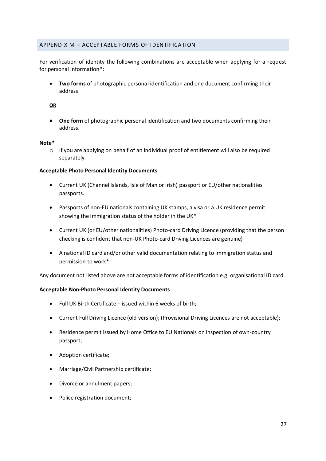#### <span id="page-27-0"></span>APPENDIX M – ACCEPTABLE FORMS OF IDENTIFICATION

For verification of identity the following combinations are acceptable when applying for a request for personal information\*:

 **Two forms** of photographic personal identification and one document confirming their address

#### **OR**

 **One form** of photographic personal identification and two documents confirming their address.

#### **Note\***

 $\circ$  If you are applying on behalf of an individual proof of entitlement will also be required separately.

#### **Acceptable Photo Personal Identity Documents**

- Current UK (Channel Islands, Isle of Man or Irish) passport or EU/other nationalities passports.
- Passports of non-EU nationals containing UK stamps, a visa or a UK residence permit showing the immigration status of the holder in the UK\*
- Current UK (or EU/other nationalities) Photo-card Driving Licence (providing that the person checking is confident that non-UK Photo-card Driving Licences are genuine)
- A national ID card and/or other valid documentation relating to immigration status and permission to work\*

Any document not listed above are not acceptable forms of identification e.g. organisational ID card.

#### **Acceptable Non-Photo Personal Identity Documents**

- Full UK Birth Certificate issued within 6 weeks of birth;
- Current Full Driving Licence (old version); (Provisional Driving Licences are not acceptable);
- Residence permit issued by Home Office to EU Nationals on inspection of own-country passport;
- Adoption certificate;
- Marriage/Civil Partnership certificate;
- Divorce or annulment papers;
- Police registration document;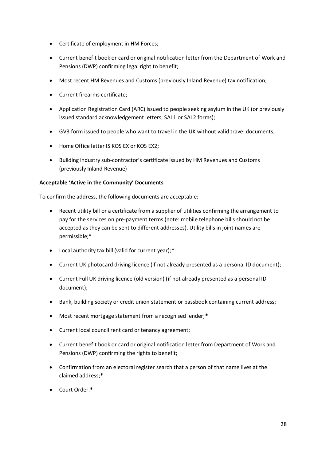- Certificate of employment in HM Forces;
- Current benefit book or card or original notification letter from the Department of Work and Pensions (DWP) confirming legal right to benefit;
- Most recent HM Revenues and Customs (previously Inland Revenue) tax notification;
- Current firearms certificate;
- Application Registration Card (ARC) issued to people seeking asylum in the UK (or previously issued standard acknowledgement letters, SAL1 or SAL2 forms);
- GV3 form issued to people who want to travel in the UK without valid travel documents;
- Home Office letter IS KOS EX or KOS EX2;
- Building industry sub-contractor's certificate issued by HM Revenues and Customs (previously Inland Revenue)

#### **Acceptable 'Active in the Community' Documents**

To confirm the address, the following documents are acceptable:

- Recent utility bill or a certificate from a supplier of utilities confirming the arrangement to pay for the services on pre-payment terms (note: mobile telephone bills should not be accepted as they can be sent to different addresses). Utility bills in joint names are permissible;**\***
- Local authority tax bill (valid for current year);**\***
- Current UK photocard driving licence (if not already presented as a personal ID document);
- Current Full UK driving licence (old version) (if not already presented as a personal ID document);
- Bank, building society or credit union statement or passbook containing current address;
- Most recent mortgage statement from a recognised lender;**\***
- Current local council rent card or tenancy agreement;
- Current benefit book or card or original notification letter from Department of Work and Pensions (DWP) confirming the rights to benefit;
- Confirmation from an electoral register search that a person of that name lives at the claimed address;**\***
- Court Order.**\***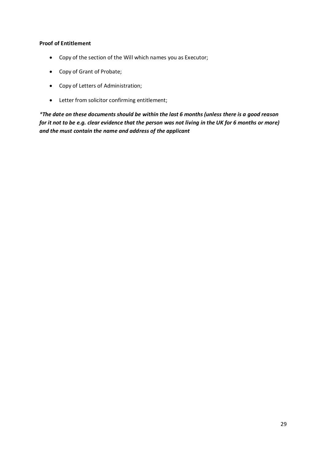#### **Proof of Entitlement**

- Copy of the section of the Will which names you as Executor;
- Copy of Grant of Probate;
- Copy of Letters of Administration;
- Letter from solicitor confirming entitlement;

*\*The date on these documents should be within the last 6 months (unless there is a good reason for it not to be e.g. clear evidence that the person was not living in the UK for 6 months or more) and the must contain the name and address of the applicant*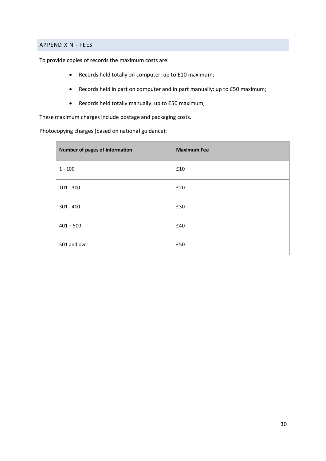#### <span id="page-30-0"></span>APPENDIX N - FEES

To provide copies of records the maximum costs are:

- Records held totally on computer: up to £10 maximum;
- Records held in part on computer and in part manually: up to £50 maximum;
- Records held totally manually: up to £50 maximum;

These maximum charges include postage and packaging costs.

Photocopying charges (based on national guidance):

| Number of pages of information | <b>Maximum Fee</b> |
|--------------------------------|--------------------|
| $1 - 100$                      | £10                |
| $101 - 300$                    | £20                |
| $301 - 400$                    | £30                |
| $401 - 500$                    | £40                |
| 501 and over                   | £50                |